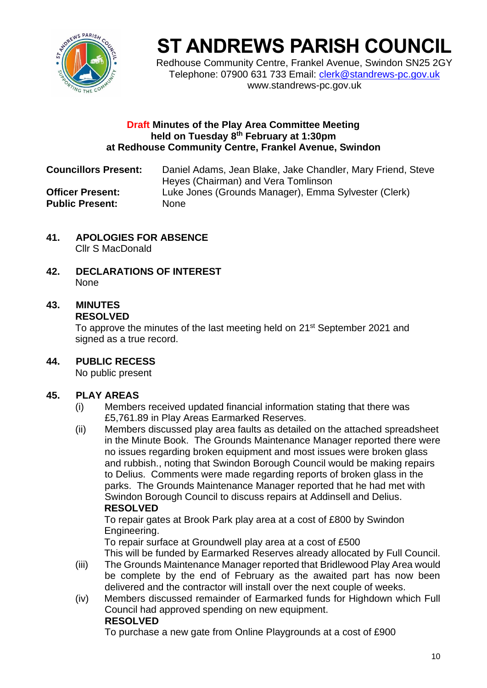

# **ST ANDREWS PARISH COUNCIL**

Redhouse Community Centre, Frankel Avenue, Swindon SN25 2GY Telephone: 07900 631 733 Email: [clerk@standrews-pc.gov.uk](mailto:clerk@standrews-pc.gov.uk) www.standrews-pc.gov.uk

#### **Draft Minutes of the Play Area Committee Meeting held on Tuesday 8 th February at 1:30pm at Redhouse Community Centre, Frankel Avenue, Swindon**

**Councillors Present:** Daniel Adams, Jean Blake, Jake Chandler, Mary Friend, Steve Heyes (Chairman) and Vera Tomlinson **Officer Present:** Luke Jones (Grounds Manager), Emma Sylvester (Clerk) Public Present: None

- **41. APOLOGIES FOR ABSENCE** Cllr S MacDonald
- **42. DECLARATIONS OF INTEREST** None

## **43. MINUTES RESOLVED**

To approve the minutes of the last meeting held on 21<sup>st</sup> September 2021 and signed as a true record.

**44. PUBLIC RECESS**

No public present

## **45. PLAY AREAS**

- (i) Members received updated financial information stating that there was £5,761.89 in Play Areas Earmarked Reserves.
- (ii) Members discussed play area faults as detailed on the attached spreadsheet in the Minute Book. The Grounds Maintenance Manager reported there were no issues regarding broken equipment and most issues were broken glass and rubbish., noting that Swindon Borough Council would be making repairs to Delius. Comments were made regarding reports of broken glass in the parks. The Grounds Maintenance Manager reported that he had met with Swindon Borough Council to discuss repairs at Addinsell and Delius. **RESOLVED**

To repair gates at Brook Park play area at a cost of £800 by Swindon Engineering.

To repair surface at Groundwell play area at a cost of £500 This will be funded by Earmarked Reserves already allocated by Full Council.

- (iii) The Grounds Maintenance Manager reported that Bridlewood Play Area would be complete by the end of February as the awaited part has now been delivered and the contractor will install over the next couple of weeks.
- (iv) Members discussed remainder of Earmarked funds for Highdown which Full Council had approved spending on new equipment. **RESOLVED**

To purchase a new gate from Online Playgrounds at a cost of £900